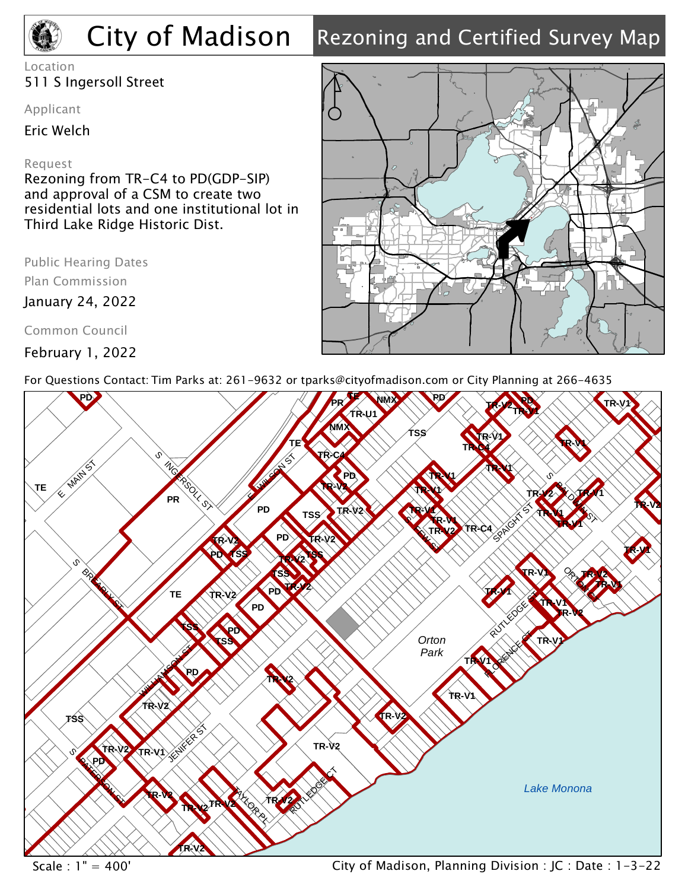# City of Madison

## Rezoning and Certified Survey Map

Location 511 S Ingersoll Street

Applicant

Eric Welch

## Request

Rezoning from TR-C4 to PD(GDP-SIP) and approval of a CSM to create two residential lots and one institutional lot in Third Lake Ridge Historic Dist.

Plan Commission

January 24, 2022

Common Council

February 1, 2022



For Questions Contact: Tim Parks at: 261-9632 or tparks@cityofmadison.com or City Planning at 266-4635



Scale : 1" = 400' City of Madison, Planning Division : JC : Date : 1-3-22